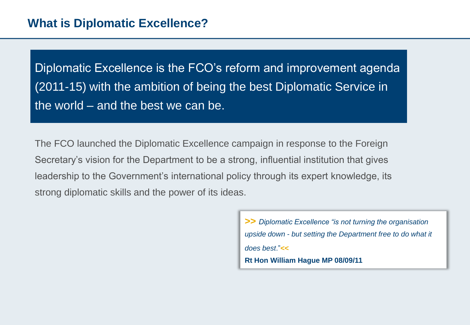Diplomatic Excellence is the FCO's reform and improvement agenda (2011-15) with the ambition of being the best Diplomatic Service in the world – and the best we can be.

The FCO launched the Diplomatic Excellence campaign in response to the Foreign Secretary's vision for the Department to be a strong, influential institution that gives leadership to the Government's international policy through its expert knowledge, its strong diplomatic skills and the power of its ideas.

> **>>** *Diplomatic Excellence "is not turning the organisation upside down - but setting the Department free to do what it does best*."**<< Rt Hon William Hague MP 08/09/11**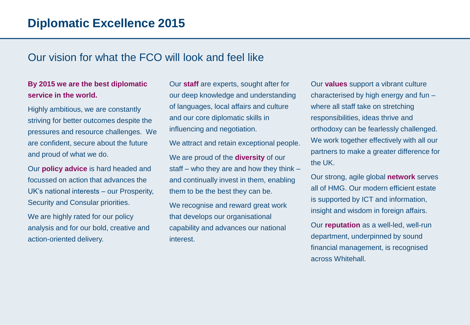## Our vision for what the FCO will look and feel like

#### **By 2015 we are the best diplomatic service in the world.**

Highly ambitious, we are constantly striving for better outcomes despite the pressures and resource challenges. We are confident, secure about the future and proud of what we do.

Our **policy advice** is hard headed and focussed on action that advances the UK's national interests – our Prosperity, Security and Consular priorities.

We are highly rated for our policy analysis and for our bold, creative and action-oriented delivery.

Our **staff** are experts, sought after for our deep knowledge and understanding of languages, local affairs and culture and our core diplomatic skills in influencing and negotiation.

We attract and retain exceptional people. We are proud of the **diversity** of our staff – who they are and how they think – and continually invest in them, enabling them to be the best they can be.

We recognise and reward great work that develops our organisational capability and advances our national interest.

Our **values** support a vibrant culture characterised by high energy and fun – where all staff take on stretching responsibilities, ideas thrive and orthodoxy can be fearlessly challenged. We work together effectively with all our partners to make a greater difference for the UK.

Our strong, agile global **network** serves all of HMG. Our modern efficient estate is supported by ICT and information, insight and wisdom in foreign affairs.

Our **reputation** as a well-led, well-run department, underpinned by sound financial management, is recognised across Whitehall.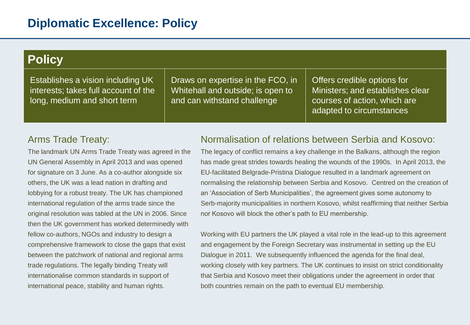| <b>Policy</b>                                                                                            |                                                                                                       |                                                                                                                             |  |  |
|----------------------------------------------------------------------------------------------------------|-------------------------------------------------------------------------------------------------------|-----------------------------------------------------------------------------------------------------------------------------|--|--|
| Establishes a vision including UK<br>interests; takes full account of the<br>long, medium and short term | Draws on expertise in the FCO, in<br>Whitehall and outside; is open to<br>and can withstand challenge | Offers credible options for<br>Ministers; and establishes clear<br>courses of action, which are<br>adapted to circumstances |  |  |

#### Arms Trade Treaty:

The landmark UN Arms Trade Treaty was agreed in the UN General Assembly in April 2013 and was opened for signature on 3 June. As a co-author alongside six others, the UK was a lead nation in drafting and lobbying for a robust treaty. The UK has championed international regulation of the arms trade since the original resolution was tabled at the UN in 2006. Since then the UK government has worked determinedly with fellow co-authors, NGOs and industry to design a comprehensive framework to close the gaps that exist between the patchwork of national and regional arms trade regulations. The legally binding Treaty will internationalise common standards in support of international peace, stability and human rights.

#### Normalisation of relations between Serbia and Kosovo:

The legacy of conflict remains a key challenge in the Balkans, although the region has made great strides towards healing the wounds of the 1990s. In April 2013, the EU-facilitated Belgrade-Pristina Dialogue resulted in a landmark agreement on normalising the relationship between Serbia and Kosovo. Centred on the creation of an 'Association of Serb Municipalities', the agreement gives some autonomy to Serb-majority municipalities in northern Kosovo, whilst reaffirming that neither Serbia nor Kosovo will block the other's path to EU membership.

Working with EU partners the UK played a vital role in the lead-up to this agreement and engagement by the Foreign Secretary was instrumental in setting up the EU Dialogue in 2011. We subsequently influenced the agenda for the final deal, working closely with key partners. The UK continues to insist on strict conditionality that Serbia and Kosovo meet their obligations under the agreement in order that both countries remain on the path to eventual EU membership.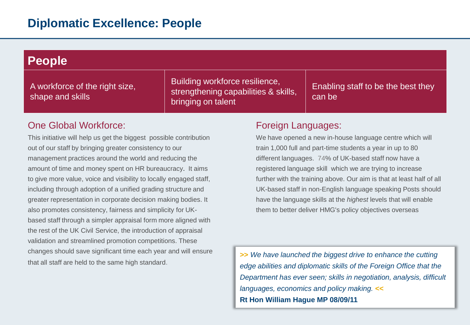| <b>People</b>                                      |                                                                                              |                                              |  |  |
|----------------------------------------------------|----------------------------------------------------------------------------------------------|----------------------------------------------|--|--|
| A workforce of the right size,<br>shape and skills | Building workforce resilience,<br>strengthening capabilities & skills.<br>bringing on talent | Enabling staff to be the best they<br>can be |  |  |

### One Global Workforce:

This initiative will help us get the biggest possible contribution out of our staff by bringing greater consistency to our management practices around the world and reducing the amount of time and money spent on HR bureaucracy. It aims to give more value, voice and visibility to locally engaged staff, including through adoption of a unified grading structure and greater representation in corporate decision making bodies. It also promotes consistency, fairness and simplicity for UKbased staff through a simpler appraisal form more aligned with the rest of the UK Civil Service, the introduction of appraisal validation and streamlined promotion competitions. These changes should save significant time each year and will ensure that all staff are held to the same high standard.

#### Foreign Languages:

We have opened a new in-house language centre which will train 1,000 full and part-time students a year in up to 80 different languages. 74% of UK-based staff now have a registered language skill which we are trying to increase further with the training above. Our aim is that at least half of all UK-based staff in non-English language speaking Posts should have the language skills at the *highest* levels that will enable them to better deliver HMG's policy objectives overseas

**>>** *We have launched the biggest drive to enhance the cutting edge abilities and diplomatic skills of the Foreign Office that the Department has ever seen; skills in negotiation, analysis, difficult languages, economics and policy making.* **<< Rt Hon William Hague MP 08/09/11**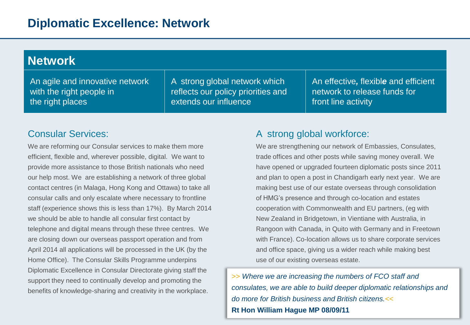| <b>Network</b>                  |                                    |                                      |  |  |
|---------------------------------|------------------------------------|--------------------------------------|--|--|
| An agile and innovative network | A strong global network which      | An effective, flexible and efficient |  |  |
| with the right people in        | reflects our policy priorities and | network to release funds for         |  |  |
| the right places                | extends our influence              | front line activity                  |  |  |

## Consular Services:

We are reforming our Consular services to make them more efficient, flexible and, wherever possible, digital. We want to provide more assistance to those British nationals who need our help most. We are establishing a network of three global contact centres (in Malaga, Hong Kong and Ottawa) to take all consular calls and only escalate where necessary to frontline staff (experience shows this is less than 17%). By March 2014 we should be able to handle all consular first contact by telephone and digital means through these three centres. We are closing down our overseas passport operation and from April 2014 all applications will be processed in the UK (by the Home Office). The Consular Skills Programme underpins Diplomatic Excellence in Consular Directorate giving staff the support they need to continually develop and promoting the benefits of knowledge-sharing and creativity in the workplace.

### A strong global workforce:

We are strengthening our network of Embassies, Consulates, trade offices and other posts while saving money overall. We have opened or upgraded fourteen diplomatic posts since 2011 and plan to open a post in Chandigarh early next year. We are making best use of our estate overseas through consolidation of HMG's presence and through co-location and estates cooperation with Commonwealth and EU partners, (eg with New Zealand in Bridgetown, in Vientiane with Australia, in Rangoon with Canada, in Quito with Germany and in Freetown with France). Co-location allows us to share corporate services and office space, giving us a wider reach while making best use of our existing overseas estate.

>> *Where we are increasing the numbers of FCO staff and consulates, we are able to build deeper diplomatic relationships and do more for British business and British citizens.*<< **Rt Hon William Hague MP 08/09/11**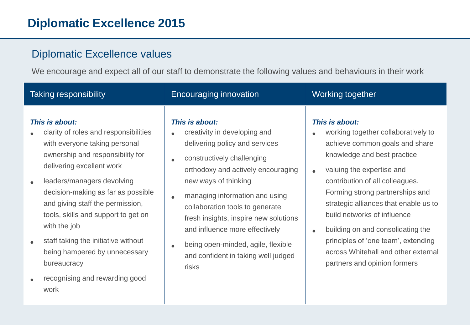# **Diplomatic Excellence 2015**

## Diplomatic Excellence values

We encourage and expect all of our staff to demonstrate the following values and behaviours in their work

| Taking responsibility                                                                                                                                                                                                                                                                                                                                                                                                                                     | Encouraging innovation                                                                                                                                                                                                                                                                                                                                                                                             | Working together                                                                                                                                                                                                                                                                                                                                                                                                                                                               |
|-----------------------------------------------------------------------------------------------------------------------------------------------------------------------------------------------------------------------------------------------------------------------------------------------------------------------------------------------------------------------------------------------------------------------------------------------------------|--------------------------------------------------------------------------------------------------------------------------------------------------------------------------------------------------------------------------------------------------------------------------------------------------------------------------------------------------------------------------------------------------------------------|--------------------------------------------------------------------------------------------------------------------------------------------------------------------------------------------------------------------------------------------------------------------------------------------------------------------------------------------------------------------------------------------------------------------------------------------------------------------------------|
| This is about:<br>clarity of roles and responsibilities<br>with everyone taking personal<br>ownership and responsibility for<br>delivering excellent work<br>leaders/managers devolving<br>decision-making as far as possible<br>and giving staff the permission,<br>tools, skills and support to get on<br>with the job<br>staff taking the initiative without<br>being hampered by unnecessary<br>bureaucracy<br>recognising and rewarding good<br>work | This is about:<br>creativity in developing and<br>delivering policy and services<br>constructively challenging<br>orthodoxy and actively encouraging<br>new ways of thinking<br>managing information and using<br>collaboration tools to generate<br>fresh insights, inspire new solutions<br>and influence more effectively<br>being open-minded, agile, flexible<br>and confident in taking well judged<br>risks | This is about:<br>working together collaboratively to<br>achieve common goals and share<br>knowledge and best practice<br>valuing the expertise and<br>$\bullet$<br>contribution of all colleagues.<br>Forming strong partnerships and<br>strategic alliances that enable us to<br>build networks of influence<br>building on and consolidating the<br>$\bullet$<br>principles of 'one team', extending<br>across Whitehall and other external<br>partners and opinion formers |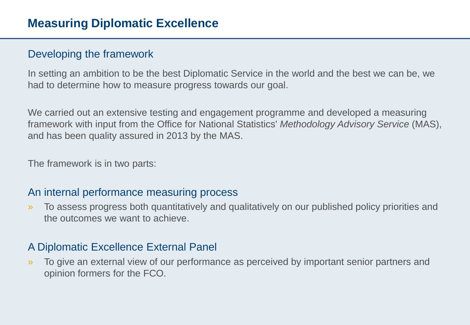# Developing the framework

In setting an ambition to be the best Diplomatic Service in the world and the best we can be, we had to determine how to measure progress towards our goal.

We carried out an extensive testing and engagement programme and developed a measuring framework with input from the Office for National Statistics' *Methodology Advisory Service* (MAS), and has been quality assured in 2013 by the MAS.

The framework is in two parts:

## An internal performance measuring process

» To assess progress both quantitatively and qualitatively on our published policy priorities and the outcomes we want to achieve.

## A Diplomatic Excellence External Panel

» To give an external view of our performance as perceived by important senior partners and opinion formers for the FCO.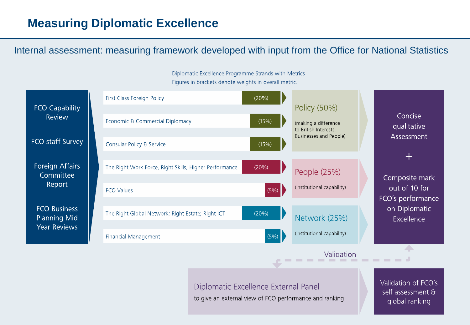# **Measuring Diplomatic Excellence**

Internal assessment: measuring framework developed with input from the Office for National Statistics



Diplomatic Excellence External Panel to give an external view of FCO performance and ranking Validation of FCO's self assessment & global ranking